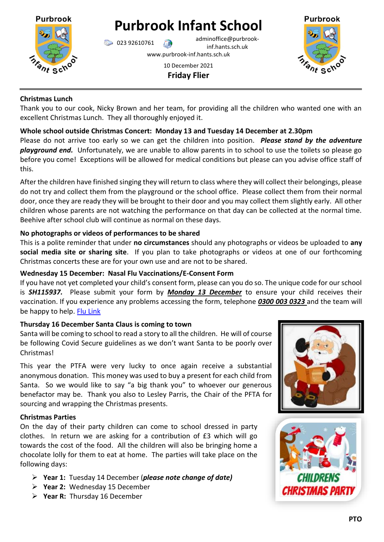

# **Purbrook Infant School**

023 92610761 adminoffice@purbrookinf.hants.sch.uk

www.purbrook-inf.hants.sch.uk

### 10 December 2021 **Friday Flier**



## **Christmas Lunch**

Thank you to our cook, Nicky Brown and her team, for providing all the children who wanted one with an excellent Christmas Lunch. They all thoroughly enjoyed it.

# **Whole school outside Christmas Concert: Monday 13 and Tuesday 14 December at 2.30pm**

Please do not arrive too early so we can get the children into position. *Please stand by the adventure playground end.* Unfortunately, we are unable to allow parents in to school to use the toilets so please go before you come! Exceptions will be allowed for medical conditions but please can you advise office staff of this.

After the children have finished singing they will return to class where they will collect their belongings, please do not try and collect them from the playground or the school office. Please collect them from their normal door, once they are ready they will be brought to their door and you may collect them slightly early. All other children whose parents are not watching the performance on that day can be collected at the normal time. Beehive after school club will continue as normal on these days.

# **No photographs or videos of performances to be shared**

This is a polite reminder that under **no circumstances** should any photographs or videos be uploaded to **any social media site or sharing site**. If you plan to take photographs or videos at one of our forthcoming Christmas concerts these are for your own use and are not to be shared.

# **Wednesday 15 December: Nasal Flu Vaccinations/E-Consent Form**

If you have not yet completed your child's consent form, please can you do so. The unique code for our school is *SH115937.* Please submit your form by *Monday 13 December* to ensure your child receives their vaccination. If you experience any problems accessing the form, telephone *0300 003 0323* and the team will be happy to help. [Flu Link](https://www.southernhealthimmunisations.co.uk/forms/flu)

# **Thursday 16 December Santa Claus is coming to town**

Santa will be coming to school to read a story to all the children. He will of course be following Covid Secure guidelines as we don't want Santa to be poorly over Christmas!

This year the PTFA were very lucky to once again receive a substantial anonymous donation. This money was used to buy a present for each child from Santa. So we would like to say "a big thank you" to whoever our generous benefactor may be. Thank you also to Lesley Parris, the Chair of the PFTA for sourcing and wrapping the Christmas presents.

# **Christmas Parties**

On the day of their party children can come to school dressed in party clothes. In return we are asking for a contribution of £3 which will go towards the cost of the food. All the children will also be bringing home a chocolate lolly for them to eat at home. The parties will take place on the following days:

- **Year 1:** Tuesday 14 December (*please note change of date)*
- **Year 2:** Wednesday 15 December
- **Year R:** Thursday 16 December